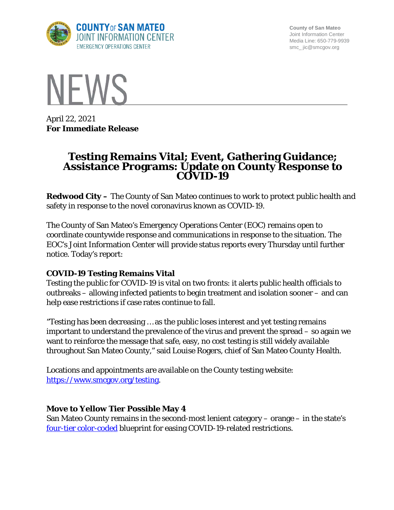

**County of San Mateo** Joint Information Center Media Line: 650-779-9939 smc\_ jic@smcgov.org



April 22, 2021 **For Immediate Release**

# **Testing Remains Vital; Event, Gathering Guidance; Assistance Programs: Update on County Response to COVID-19**

**Redwood City –** The County of San Mateo continues to work to protect public health and safety in response to the novel coronavirus known as COVID-19.

The County of San Mateo's Emergency Operations Center (EOC) remains open to coordinate countywide response and communications in response to the situation. The EOC's Joint Information Center will provide status reports every Thursday until further notice. Today's report:

## **COVID-19 Testing Remains Vital**

Testing the public for COVID-19 is vital on two fronts: it alerts public health officials to outbreaks – allowing infected patients to begin treatment and isolation sooner – and can help ease restrictions if case rates continue to fall.

"Testing has been decreasing … as the public loses interest and yet testing remains important to understand the prevalence of the virus and prevent the spread – so again we want to reinforce the message that safe, easy, no cost testing is still widely available throughout San Mateo County," said Louise Rogers, chief of San Mateo County Health.

Locations and appointments are available on the County testing website: [https://www.smcgov.org/testing.](https://www.smcgov.org/testing)

## **Move to Yellow Tier Possible May 4**

San Mateo County remains in the second-most lenient category – orange – in the state's [four-tier color-coded](https://covid19.ca.gov/safer-economy/) blueprint for easing COVID-19-related restrictions.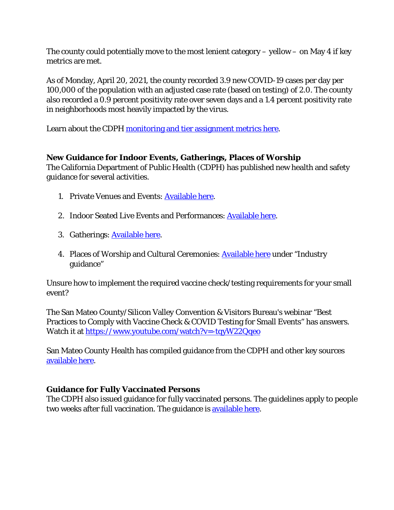The county could potentially move to the most lenient category  $-$  yellow  $-$  on May 4 if key metrics are met.

As of Monday, April 20, 2021, the county recorded 3.9 new COVID-19 cases per day per 100,000 of the population with an adjusted case rate (based on testing) of 2.0. The county also recorded a 0.9 percent positivity rate over seven days and a 1.4 percent positivity rate in neighborhoods most heavily impacted by the virus.

Learn about the CDPH [monitoring and tier assignment metrics](https://www.cdph.ca.gov/Programs/CID/DCDC/Pages/COVID-19/COVID19CountyMonitoringOverview.aspx) here.

# **New Guidance for Indoor Events, Gatherings, Places of Worship**

The California Department of Public Health (CDPH) has published new health and safety guidance for several activities.

- 1. Private Venues and Events: [Available here.](https://files.covid19.ca.gov/pdf/guidance-private-events--en.pdf)
- 2. Indoor Seated Live Events and Performances: [Available here.](https://files.covid19.ca.gov/pdf/guidance-live-performances-indoor--en.pdf)
- 3. Gatherings: [Available here.](https://www.cdph.ca.gov/Programs/CID/DCDC/Pages/COVID-19/Guidance-for-the-Prevention-of-COVID-19-Transmission-for-Gatherings-November-2020.aspx)
- 4. Places of Worship and Cultural Ceremonies: **Available here under "Industry** guidance"

Unsure how to implement the required vaccine check/testing requirements for your small event?

The San Mateo County/Silicon Valley Convention & Visitors Bureau's webinar "Best Practices to Comply with Vaccine Check & COVID Testing for Small Events" has answers. Watch it at<https://www.youtube.com/watch?v=-tqyW22Qqeo>

San Mateo County Health has compiled guidance from the CDPH and other key sources [available here.](https://www.smchealth.org/post/new-guidance-state-california)

# **Guidance for Fully Vaccinated Persons**

The CDPH also issued guidance for fully vaccinated persons. The guidelines apply to people two weeks after full vaccination. The guidance is [available here.](https://www.cdph.ca.gov/Programs/CID/DCDC/Pages/COVID-19/COVID-19-Public-Health-Recommendations-for-Fully-Vaccinated-People.aspx)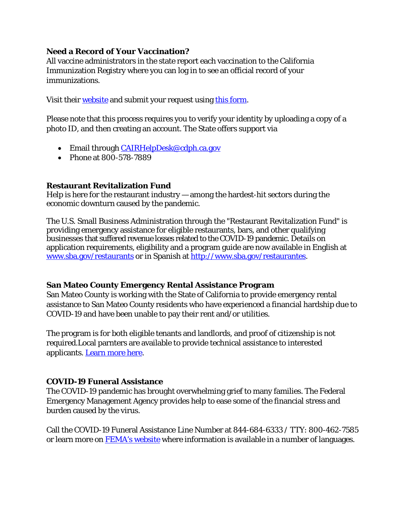## **Need a Record of Your Vaccination?**

All vaccine administrators in the state report each vaccination to the California Immunization Registry where you can log in to see an official record of your immunizations.

Visit their [website](https://cairweb.org/) and submit your request using [this form.](https://cairforms.cairweb.org/AuthorizationToRelease/AuthorizationToRelease)

Please note that this process requires you to verify your identity by uploading a copy of a photo ID, and then creating an account. The State offers support via

- Email through *CAIRHelpDesk@cdph.ca.gov*
- Phone at 800-578-7889

# **Restaurant Revitalization Fund**

Help is here for the restaurant industry — among the hardest-hit sectors during the economic downturn caused by the pandemic.

The U.S. Small Business Administration through the "Restaurant Revitalization Fund" is providing emergency assistance for eligible restaurants, bars, and other qualifying businesses that suffered revenue losses related to the COVID-19 pandemic. Details on application requirements, eligibility and a program guide are now available in English at [www.sba.gov/restaurants](http://www.sba.gov/restaurants) or in Spanish at [http://www.sba.gov/restaurantes.](http://www.sba.gov/restaurantes)

## **San Mateo County Emergency Rental Assistance Program**

San Mateo County is working with the State of California to provide emergency rental assistance to San Mateo County residents who have experienced a financial hardship due to COVID-19 and have been unable to pay their rent and/or utilities.

The program is for both eligible tenants and landlords, and proof of citizenship is not required.Local parnters are available to provide technical assistance to interested applicants. [Learn more here.](https://www.smcgov.org/san-mateo-county-emergency-rental-assistance-program)

## **COVID-19 Funeral Assistance**

The COVID-19 pandemic has brought overwhelming grief to many families. The Federal Emergency Management Agency provides help to ease some of the financial stress and burden caused by the virus.

Call the COVID-19 Funeral Assistance Line Number at 844-684-6333 / TTY: 800-462-7585 or learn more on [FEMA's website](https://www.fema.gov/disasters/coronavirus/economic/funeral-assistance) where information is available in a number of languages.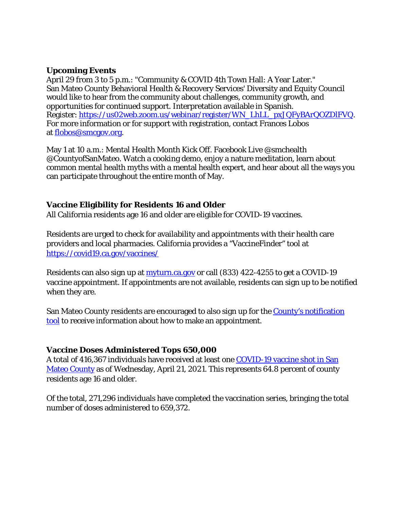#### **Upcoming Events**

April 29 from 3 to 5 p.m.: "Community & COVID 4th Town Hall: A Year Later." San Mateo County Behavioral Health & Recovery Services' Diversity and Equity Council would like to hear from the community about challenges, community growth, and opportunities for continued support. Interpretation available in Spanish. Register: [https://us02web.zoom.us/webinar/register/WN\\_LhLL\\_pxJQFyBArQOZDlFVQ.](https://us02web.zoom.us/webinar/register/WN_LhLL_pxJQFyBArQOZDlFVQ) For more information or for support with registration, contact Frances Lobos at [flobos@smcgov.org.](mailto:flobos@smcgov.org)

May 1 at 10 a.m.: Mental Health Month Kick Off. Facebook Live @smchealth @CountyofSanMateo. Watch a cooking demo, enjoy a nature meditation, learn about common mental health myths with a mental health expert, and hear about all the ways you can participate throughout the entire month of May.

#### **Vaccine Eligibility for Residents 16 and Older**

All California residents age 16 and older are eligible for COVID-19 vaccines.

Residents are urged to check for availability and appointments with their health care providers and local pharmacies. California provides a "VaccineFinder" tool at <https://covid19.ca.gov/vaccines/>

Residents can also sign up at [myturn.ca.gov](https://myturn.ca.gov/landing) or call (833) 422-4255 to get a COVID-19 vaccine appointment. If appointments are not available, residents can sign up to be notified when they are.

San Mateo County residents are encouraged to also sign up for the County's notification [tool](http://forms.office.com/Pages/ResponsePage.aspx?id=Nfb6DU2gzEin422hrwiD-S6Nu8Fm05tAlD6PWRPnVIxUOUo0N0NUM1VDRUtVMDlBMlZBNFFBOFVNVyQlQCN0PWcu&wdLOR=c539C3515-F3DE-944B-88F3-A8F48EC76AB3) to receive information about how to make an appointment.

## **Vaccine Doses Administered Tops 650,000**

A total of 416,367 individuals have received at least one [COVID-19 vaccine shot in San](https://www.smchealth.org/data-dashboard/vaccination-totals-locations-data)  [Mateo County](https://www.smchealth.org/data-dashboard/vaccination-totals-locations-data) as of Wednesday, April 21, 2021. This represents 64.8 percent of county residents age 16 and older.

Of the total, 271,296 individuals have completed the vaccination series, bringing the total number of doses administered to 659,372.